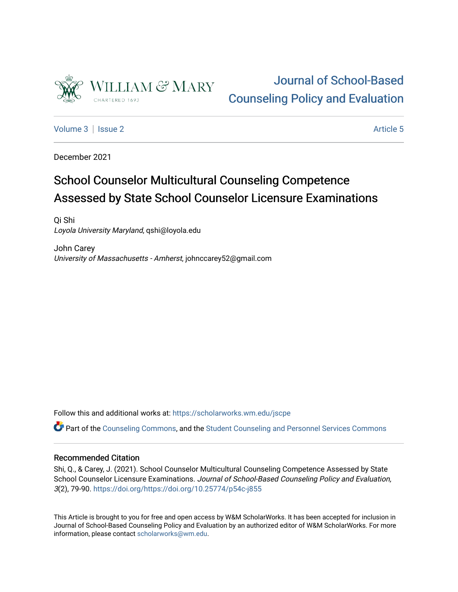

## [Journal of School-Based](https://scholarworks.wm.edu/jscpe)  [Counseling Policy and Evaluation](https://scholarworks.wm.edu/jscpe)

[Volume 3](https://scholarworks.wm.edu/jscpe/vol3) | [Issue 2](https://scholarworks.wm.edu/jscpe/vol3/iss2) Article 5

December 2021

# School Counselor Multicultural Counseling Competence Assessed by State School Counselor Licensure Examinations

Qi Shi Loyola University Maryland, qshi@loyola.edu

John Carey University of Massachusetts - Amherst, johnccarey52@gmail.com

Follow this and additional works at: [https://scholarworks.wm.edu/jscpe](https://scholarworks.wm.edu/jscpe?utm_source=scholarworks.wm.edu%2Fjscpe%2Fvol3%2Fiss2%2F5&utm_medium=PDF&utm_campaign=PDFCoverPages) 

Part of the [Counseling Commons,](http://network.bepress.com/hgg/discipline/1268?utm_source=scholarworks.wm.edu%2Fjscpe%2Fvol3%2Fiss2%2F5&utm_medium=PDF&utm_campaign=PDFCoverPages) and the [Student Counseling and Personnel Services Commons](http://network.bepress.com/hgg/discipline/802?utm_source=scholarworks.wm.edu%2Fjscpe%2Fvol3%2Fiss2%2F5&utm_medium=PDF&utm_campaign=PDFCoverPages) 

## Recommended Citation

Shi, Q., & Carey, J. (2021). School Counselor Multicultural Counseling Competence Assessed by State School Counselor Licensure Examinations. Journal of School-Based Counseling Policy and Evaluation, 3(2), 79-90. <https://doi.org/https://doi.org/10.25774/p54c-j855>

This Article is brought to you for free and open access by W&M ScholarWorks. It has been accepted for inclusion in Journal of School-Based Counseling Policy and Evaluation by an authorized editor of W&M ScholarWorks. For more information, please contact [scholarworks@wm.edu](mailto:scholarworks@wm.edu).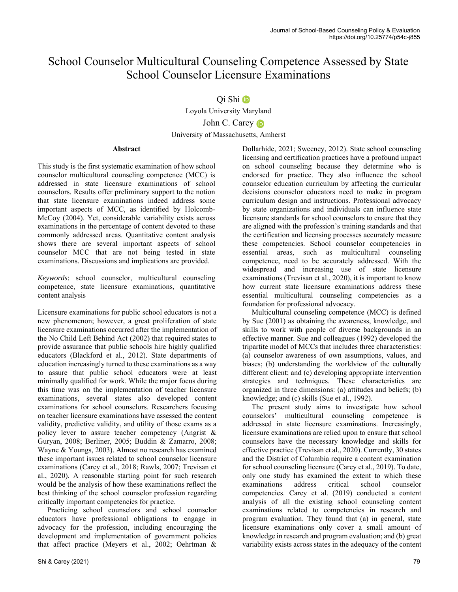## School Counselor Multicultural Counseling Competence Assessed by State School Counselor Licensure Examinations

## Qi Shi

Loyola University Maryland John C. Carey University of Massachusetts, Amherst

## **Abstract**

This study is the first systematic examination of how school counselor multicultural counseling competence (MCC) is addressed in state licensure examinations of school counselors. Results offer preliminary support to the notion that state licensure examinations indeed address some important aspects of MCC, as identified by Holcomb-McCoy (2004). Yet, considerable variability exists across examinations in the percentage of content devoted to these commonly addressed areas. Quantitative content analysis shows there are several important aspects of school counselor MCC that are not being tested in state examinations. Discussions and implications are provided.

*Keywords*: school counselor, multicultural counseling competence, state licensure examinations, quantitative content analysis

Licensure examinations for public school educators is not a new phenomenon; however, a great proliferation of state licensure examinations occurred after the implementation of the No Child Left Behind Act (2002) that required states to provide assurance that public schools hire highly qualified educators (Blackford et al., 2012). State departments of education increasingly turned to these examinations as a way to assure that public school educators were at least minimally qualified for work. While the major focus during this time was on the implementation of teacher licensure examinations, several states also developed content examinations for school counselors. Researchers focusing on teacher licensure examinations have assessed the content validity, predictive validity, and utility of those exams as a policy lever to assure teacher competency (Angrist & Guryan, 2008; Berliner, 2005; Buddin & Zamarro, 2008; Wayne & Youngs, 2003). Almost no research has examined these important issues related to school counselor licensure examinations (Carey et al., 2018; Rawls, 2007; Trevisan et al., 2020). A reasonable starting point for such research would be the analysis of how these examinations reflect the best thinking of the school counselor profession regarding critically important competencies for practice.

 Practicing school counselors and school counselor educators have professional obligations to engage in advocacy for the profession, including encouraging the development and implementation of government policies that affect practice (Meyers et al., 2002; Oehrtman & Dollarhide, 2021; Sweeney, 2012). State school counseling licensing and certification practices have a profound impact on school counseling because they determine who is endorsed for practice. They also influence the school counselor education curriculum by affecting the curricular decisions counselor educators need to make in program curriculum design and instructions. Professional advocacy by state organizations and individuals can influence state licensure standards for school counselors to ensure that they are aligned with the profession's training standards and that the certification and licensing processes accurately measure these competencies. School counselor competencies in essential areas, such as multicultural counseling competence, need to be accurately addressed. With the widespread and increasing use of state licensure examinations (Trevisan et al., 2020), it is important to know how current state licensure examinations address these essential multicultural counseling competencies as a foundation for professional advocacy.

 Multicultural counseling competence (MCC) is defined by Sue (2001) as obtaining the awareness, knowledge, and skills to work with people of diverse backgrounds in an effective manner. Sue and colleagues (1992) developed the tripartite model of MCCs that includes three characteristics: (a) counselor awareness of own assumptions, values, and biases; (b) understanding the worldview of the culturally different client; and (c) developing appropriate intervention strategies and techniques. These characteristics are organized in three dimensions: (a) attitudes and beliefs; (b) knowledge; and (c) skills (Sue et al., 1992).

 The present study aims to investigate how school counselors' multicultural counseling competence is addressed in state licensure examinations. Increasingly, licensure examinations are relied upon to ensure that school counselors have the necessary knowledge and skills for effective practice (Trevisan et al., 2020). Currently, 30 states and the District of Columbia require a content examination for school counseling licensure (Carey et al., 2019). To date, only one study has examined the extent to which these examinations address critical school counselor competencies. Carey et al. (2019) conducted a content analysis of all the existing school counseling content examinations related to competencies in research and program evaluation. They found that (a) in general, state licensure examinations only cover a small amount of knowledge in research and program evaluation; and (b) great variability exists across states in the adequacy of the content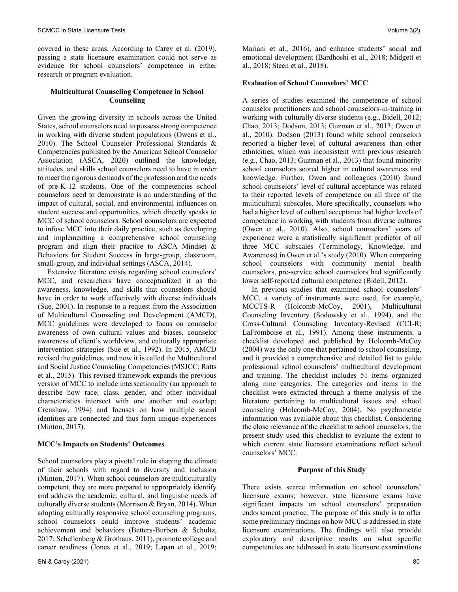covered in these areas. According to Carey et al. (2019), passing a state licensure examination could not serve as evidence for school counselors' competence in either research or program evaluation.

#### **Multicultural Counseling Competence in School Counseling**

Given the growing diversity in schools across the United States, school counselors need to possess strong competence in working with diverse student populations (Owens et al., 2010). The School Counselor Professional Standards & Competencies published by the American School Counselor Association (ASCA, 2020) outlined the knowledge, attitudes, and skills school counselors need to have in order to meet the rigorous demands of the profession and the needs of pre-K-12 students. One of the competencies school counselors need to demonstrate is an understanding of the impact of cultural, social, and environmental influences on student success and opportunities, which directly speaks to MCC of school counselors. School counselors are expected to infuse MCC into their daily practice, such as developing and implementing a comprehensive school counseling program and align their practice to ASCA Mindset & Behaviors for Student Success in large-group, classroom, small-group, and individual settings (ASCA, 2014).

 Extensive literature exists regarding school counselors' MCC, and researchers have conceptualized it as the awareness, knowledge, and skills that counselors should have in order to work effectively with diverse individuals (Sue, 2001). In response to a request from the Association of Multicultural Counseling and Development (AMCD), MCC guidelines were developed to focus on counselor awareness of own cultural values and biases, counselor awareness of client's worldview, and culturally appropriate intervention strategies (Sue et al., 1992). In 2015, AMCD revised the guidelines, and now it is called the Multicultural and Social Justice Counseling Competencies (MSJCC; Ratts et al., 2015). This revised framework expands the previous version of MCC to include intersectionality (an approach to describe how race, class, gender, and other individual characteristics intersect with one another and overlap; Crenshaw, 1994) and focuses on how multiple social identities are connected and thus form unique experiences (Minton, 2017).

## **MCC's Impacts on Students' Outcomes**

School counselors play a pivotal role in shaping the climate of their schools with regard to diversity and inclusion (Minton, 2017). When school counselors are multiculturally competent, they are more prepared to appropriately identify and address the academic, cultural, and linguistic needs of culturally diverse students (Morrison & Bryan, 2014). When adopting culturally responsive school counseling programs, school counselors could improve students' academic achievement and behaviors (Betters-Burbon & Schultz, 2017; Schellenberg & Grothaus, 2011), promote college and career readiness (Jones et al., 2019; Lapan et al., 2019; Mariani et al., 2016), and enhance students' social and emotional development (Bardhoshi et al., 2018; Midgett et al., 2018; Steen et al., 2018).

## **Evaluation of School Counselors' MCC**

A series of studies examined the competence of school counselor practitioners and school counselors-in-training in working with culturally diverse students (e.g., Bidell, 2012; Chao, 2013; Dodson, 2013; Guzman et al., 2013; Owen et al., 2010). Dodson (2013) found white school counselors reported a higher level of cultural awareness than other ethnicities, which was inconsistent with previous research (e.g., Chao, 2013; Guzman et al., 2013) that found minority school counselors scored higher in cultural awareness and knowledge. Further, Owen and colleagues (2010) found school counselors' level of cultural acceptance was related to their reported levels of competence on all three of the multicultural subscales. More specifically, counselors who had a higher level of cultural acceptance had higher levels of competence in working with students from diverse cultures (Owen et al., 2010). Also, school counselors' years of experience were a statistically significant predictor of all three MCC subscales (Terminology, Knowledge, and Awareness) in Owen et al.'s study (2010). When comparing school counselors with community mental health counselors, pre-service school counselors had significantly lower self-reported cultural competence (Bidell, 2012).

 In previous studies that examined school counselors' MCC, a variety of instruments were used, for example, MCCTS-R (Holcomb-McCoy, 2001), Multicultural Counseling Inventory (Sodowsky et al., 1994), and the Cross-Cultural Counseling Inventory-Revised (CCI-R; LaFromboise et al., 1991). Among these instruments, a checklist developed and published by Holcomb-McCoy (2004) was the only one that pertained to school counseling, and it provided a comprehensive and detailed list to guide professional school counselors' multicultural development and training. The checklist includes 51 items organized along nine categories. The categories and items in the checklist were extracted through a theme analysis of the literature pertaining to multicultural issues and school counseling (Holcomb-McCoy, 2004). No psychometric information was available about this checklist. Considering the close relevance of the checklist to school counselors, the present study used this checklist to evaluate the extent to which current state licensure examinations reflect school counselors' MCC.

## **Purpose of this Study**

There exists scarce information on school counselors' licensure exams; however, state licensure exams have significant impacts on school counselors' preparation endorsement practice. The purpose of this study is to offer some preliminary findings on how MCC is addressed in state licensure examinations. The findings will also provide exploratory and descriptive results on what specific competencies are addressed in state licensure examinations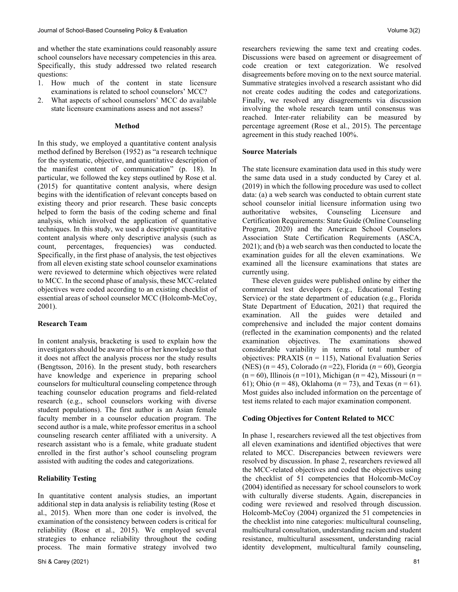and whether the state examinations could reasonably assure school counselors have necessary competencies in this area. Specifically, this study addressed two related research questions:

- 1. How much of the content in state licensure examinations is related to school counselors' MCC?
- 2. What aspects of school counselors' MCC do available state licensure examinations assess and not assess?

#### **Method**

In this study, we employed a quantitative content analysis method defined by Berelson (1952) as "a research technique for the systematic, objective, and quantitative description of the manifest content of communication" (p. 18). In particular, we followed the key steps outlined by Rose et al. (2015) for quantitative content analysis, where design begins with the identification of relevant concepts based on existing theory and prior research. These basic concepts helped to form the basis of the coding scheme and final analysis, which involved the application of quantitative techniques. In this study, we used a descriptive quantitative content analysis where only descriptive analysis (such as count, percentages, frequencies) was conducted. Specifically, in the first phase of analysis, the test objectives from all eleven existing state school counselor examinations were reviewed to determine which objectives were related to MCC. In the second phase of analysis, these MCC-related objectives were coded according to an existing checklist of essential areas of school counselor MCC (Holcomb-McCoy, 2001).

## **Research Team**

In content analysis, bracketing is used to explain how the investigators should be aware of his or her knowledge so that it does not affect the analysis process nor the study results (Bengtsson, 2016). In the present study, both researchers have knowledge and experience in preparing school counselors for multicultural counseling competence through teaching counselor education programs and field-related research (e.g., school counselors working with diverse student populations). The first author is an Asian female faculty member in a counselor education program. The second author is a male, white professor emeritus in a school counseling research center affiliated with a university. A research assistant who is a female, white graduate student enrolled in the first author's school counseling program assisted with auditing the codes and categorizations.

## **Reliability Testing**

In quantitative content analysis studies, an important additional step in data analysis is reliability testing (Rose et al., 2015). When more than one coder is involved, the examination of the consistency between coders is critical for reliability (Rose et al., 2015). We employed several strategies to enhance reliability throughout the coding process. The main formative strategy involved two researchers reviewing the same text and creating codes. Discussions were based on agreement or disagreement of code creation or text categorization. We resolved disagreements before moving on to the next source material. Summative strategies involved a research assistant who did not create codes auditing the codes and categorizations. Finally, we resolved any disagreements via discussion involving the whole research team until consensus was reached. Inter-rater reliability can be measured by percentage agreement (Rose et al., 2015). The percentage agreement in this study reached 100%.

#### **Source Materials**

The state licensure examination data used in this study were the same data used in a study conducted by Carey et al. (2019) in which the following procedure was used to collect data: (a) a web search was conducted to obtain current state school counselor initial licensure information using two authoritative websites, Counseling Licensure and Certification Requirements: State Guide (Online Counseling Program, 2020) and the American School Counselors Association State Certification Requirements (ASCA, 2021); and (b) a web search was then conducted to locate the examination guides for all the eleven examinations. We examined all the licensure examinations that states are currently using.

 These eleven guides were published online by either the commercial test developers (e.g., Educational Testing Service) or the state department of education (e.g., Florida State Department of Education, 2021) that required the examination. All the guides were detailed and comprehensive and included the major content domains (reflected in the examination components) and the related examination objectives. The examinations showed considerable variability in terms of total number of objectives: PRAXIS (*n* = 115), National Evaluation Series (NES) (*n* = 45), Colorado (*n* =22), Florida (*n* = 60), Georgia (n = 60), Illinois (*n* =101), Michigan (*n* = 42), Missouri (*n* = 61); Ohio (*n* = 48), Oklahoma (*n* = 73), and Texas (*n* = 61). Most guides also included information on the percentage of test items related to each major examination component.

## **Coding Objectives for Content Related to MCC**

In phase 1, researchers reviewed all the test objectives from all eleven examinations and identified objectives that were related to MCC. Discrepancies between reviewers were resolved by discussion. In phase 2, researchers reviewed all the MCC-related objectives and coded the objectives using the checklist of 51 competencies that Holcomb-McCoy (2004) identified as necessary for school counselors to work with culturally diverse students. Again, discrepancies in coding were reviewed and resolved through discussion. Holcomb-McCoy (2004) organized the 51 competencies in the checklist into nine categories: multicultural counseling, multicultural consultation, understanding racism and student resistance, multicultural assessment, understanding racial identity development, multicultural family counseling,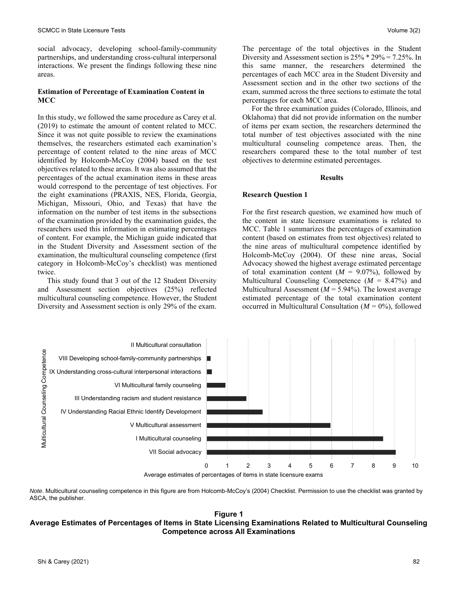social advocacy, developing school-family-community partnerships, and understanding cross-cultural interpersonal interactions. We present the findings following these nine areas.

### **Estimation of Percentage of Examination Content in MCC**

In this study, we followed the same procedure as Carey et al. (2019) to estimate the amount of content related to MCC. Since it was not quite possible to review the examinations themselves, the researchers estimated each examination's percentage of content related to the nine areas of MCC identified by Holcomb-McCoy (2004) based on the test objectives related to these areas. It was also assumed that the percentages of the actual examination items in these areas would correspond to the percentage of test objectives. For the eight examinations (PRAXIS, NES, Florida, Georgia, Michigan, Missouri, Ohio, and Texas) that have the information on the number of test items in the subsections of the examination provided by the examination guides, the researchers used this information in estimating percentages of content. For example, the Michigan guide indicated that in the Student Diversity and Assessment section of the examination, the multicultural counseling competence (first category in Holcomb-McCoy's checklist) was mentioned twice.

 This study found that 3 out of the 12 Student Diversity and Assessment section objectives (25%) reflected multicultural counseling competence. However, the Student Diversity and Assessment section is only 29% of the exam. The percentage of the total objectives in the Student Diversity and Assessment section is 25% \* 29% = 7.25%. In this same manner, the researchers determined the percentages of each MCC area in the Student Diversity and Assessment section and in the other two sections of the exam, summed across the three sections to estimate the total percentages for each MCC area.

 For the three examination guides (Colorado, Illinois, and Oklahoma) that did not provide information on the number of items per exam section, the researchers determined the total number of test objectives associated with the nine multicultural counseling competence areas. Then, the researchers compared these to the total number of test objectives to determine estimated percentages.

#### **Results**

#### **Research Question 1**

For the first research question, we examined how much of the content in state licensure examinations is related to MCC. Table 1 summarizes the percentages of examination content (based on estimates from test objectives) related to the nine areas of multicultural competence identified by Holcomb-McCoy (2004). Of these nine areas, Social Advocacy showed the highest average estimated percentage of total examination content  $(M = 9.07\%)$ , followed by Multicultural Counseling Competence  $(M = 8.47\%)$  and Multicultural Assessment ( $M = 5.94\%$ ). The lowest average estimated percentage of the total examination content occurred in Multicultural Consultation  $(M = 0\%)$ , followed



Average estimates of percentages of items in state licensure exams

*Note*. Multicultural counseling competence in this figure are from Holcomb-McCoy's (2004) Checklist. Permission to use the checklist was granted by ASCA, the publisher.

## **Figure 1 Average Estimates of Percentages of Items in State Licensing Examinations Related to Multicultural Counseling Competence across All Examinations**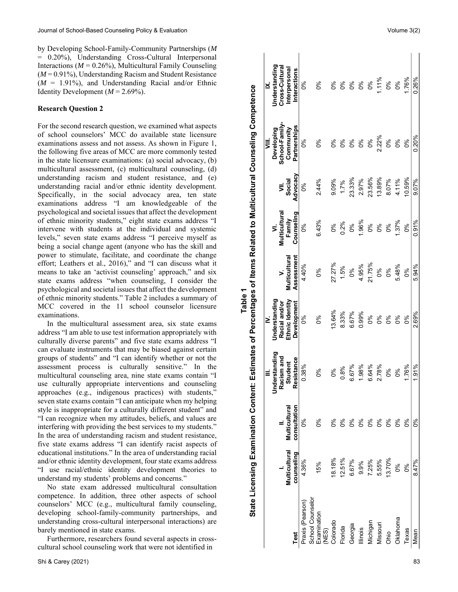by Developing School-Family-Community Partnerships (*M* = 0.20%), Understanding Cross-Cultural Interpersonal Interactions ( $M = 0.26\%$ ), Multicultural Family Counseling (*M* = 0.91%), Understanding Racism and Student Resistance  $(M = 1.91\%)$ , and Understanding Racial and/or Ethnic Identity Development  $(M = 2.69\%)$ .

#### **Research Question 2**

For the second research question, we examined what aspects of school counselors' MCC do available state licensure examinations assess and not assess. As shown in Figure 1, the following five areas of MCC are more commonly tested in the state licensure examinations: (a) social advocacy, (b) multicultural assessment, (c) multicultural counseling, (d) understanding racism and student resistance, and (e) understanding racial and/or ethnic identity development. Specifically, in the social advocacy area, ten state examinations address "I am knowledgeable of the psychological and societal issues that affect the development of ethnic minority students," eight state exams address "I intervene with students at the individual and systemic levels," seven state exams address "I perceive myself as being a social change agent (anyone who has the skill and power to stimulate, facilitate, and coordinate the change effort; Leathers et al., 2016)," and "I can discuss what it means to take an 'activist counseling' approach," and six state exams address "when counseling, I consider the psychological and societal issues that affect the development of ethnic minority students." Table 2 includes a summary of MCC covered in the 11 school counselor licensure examinations.

 In the multicultural assessment area, six state exams address "I am able to use test information appropriately with culturally diverse parents" and five state exams address "I can evaluate instruments that may be biased against certain groups of students" and "I can identify whether or not the assessment process is culturally sensitive." In the multicultural counseling area, nine state exams contain "I use culturally appropriate interventions and counseling approaches (e.g., indigenous practices) with students," seven state exams contain "I can anticipate when my helping style is inappropriate for a culturally different student" and "I can recognize when my attitudes, beliefs, and values are interfering with providing the best services to my students." In the area of understanding racism and student resistance, five state exams address "I can identify racist aspects of educational institutions." In the area of understanding racial and/or ethnic identity development, four state exams address "I use racial/ethnic identity development theories to understand my students' problems and concerns."

 No state exam addressed multicultural consultation competence. In addition, three other aspects of school counselors' MCC (e.g., multicultural family counseling, developing school-family-community partnerships, and understanding cross-cultural interpersonal interactions) are barely mentioned in state exams.

 Furthermore, researchers found several aspects in crosscultural school counseling work that were not identified in

| Test                             | <b>Multicultural</b><br>counseling | II.<br>Multicultural<br>consultation | Understanding<br>Racism and<br>Resistance<br>Student<br>≡ | Understanding<br>Ethnic Identity<br>Development<br>Racial and/or<br>≥๋ | Assessment<br>Multicultural | Multicultural<br>Counseling<br>Family<br>⋝ | Advocacy<br>Social<br>⋚ | School-Family<br>Partnerships<br>Community<br>Developing<br>⋚ | <b>Jnderstanding</b><br>Cross-Cultural<br>Interpersonal<br>Interactions<br>≱ |
|----------------------------------|------------------------------------|--------------------------------------|-----------------------------------------------------------|------------------------------------------------------------------------|-----------------------------|--------------------------------------------|-------------------------|---------------------------------------------------------------|------------------------------------------------------------------------------|
| Praxis (Pearson)                 | 4.36%                              | కి                                   | 0.38%                                                     | 8%                                                                     | 4.40%                       | ಽ                                          | ఠి                      | కి                                                            | ೦%                                                                           |
| School Counselor                 |                                    |                                      |                                                           |                                                                        |                             |                                            |                         |                                                               |                                                                              |
| Examination<br>(NES)<br>Colorado | 15%                                | 0%                                   | ೦%                                                        | $\delta$                                                               | ್ಯೆ                         | 6.43%                                      | 2.44%                   | 0%                                                            | $\delta$                                                                     |
|                                  | 18.18%                             | 0%                                   | $\delta$                                                  | 13.64%                                                                 | 27.27%                      | 0%                                         | 9.09%                   | 0%                                                            | $\delta$                                                                     |
| Florida                          | 12.51%                             | ೦%                                   | 0.8%                                                      | 8.33%                                                                  | 1.5%                        | 0.2%                                       | 1.7%                    | $\delta$                                                      | $\delta$                                                                     |
| Georgia                          | 6.67%                              | ೦%                                   | 6.67%                                                     | 6.67%                                                                  | ಶಿಂ                         | $\delta$                                   | 23.33%                  | ೦%                                                            | $\delta$                                                                     |
| lllinois                         | 9.9%                               | $\delta$                             | 1.98%                                                     | 0.99%                                                                  | 4.95%                       | 1.96%                                      | 2.97%                   | 0%                                                            | $\delta$                                                                     |
| Michigan                         | 7.25%                              | 0%                                   | 6.64%                                                     | 0%                                                                     | 21.75%                      | 0%                                         | 23.56%                  | $\delta$                                                      | 0%                                                                           |
| Missouri                         | 5.55%                              | 0%                                   | 2.78%                                                     | $\delta$                                                               | ್ಯೆ                         | $\delta$                                   | 13.89%                  | 2.22%                                                         | 1.11%                                                                        |
| Ohio                             | 13.70%                             | $\delta$                             | ೦%                                                        | $\delta$                                                               | 0%                          | $\delta$                                   | 8.07%                   | $\delta$                                                      | $\delta$                                                                     |
| Oklahoma                         | 0%                                 | ೦%                                   | కి                                                        | $\delta$                                                               | 5.48%                       | 1.37%                                      | 4.11%                   | $\delta$                                                      | $\delta$                                                                     |
| Texas                            | 8%                                 | ్య                                   | 1.76%                                                     | కి                                                                     | ఠి                          | ೦%                                         | 10.59%                  | ೦ೆ                                                            | 1.76%                                                                        |
| Mean                             | 8.47%                              | కి                                   | 1.91%                                                     | 2.69%                                                                  | 5.94%                       | 0.91%                                      | 9.07%                   | 0.20%                                                         | 0.26%                                                                        |
|                                  |                                    |                                      |                                                           |                                                                        |                             |                                            |                         |                                                               |                                                                              |

**Table 1**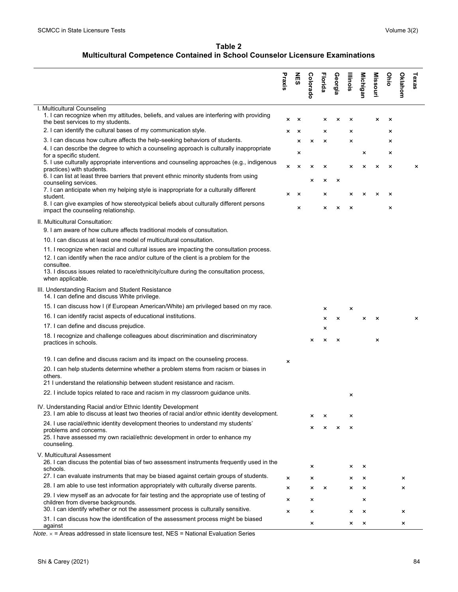**Table 2 Multicultural Competence Contained in School Counselor Licensure Examinations**

|                                                                                                                                                                               | Praxis | NES                       | Colorado | <b>Florida</b> | Georgia                   | Illinois                  | <b>Michigan</b> | <b>Missouri</b> | Ohio | Oklahom | Texas |
|-------------------------------------------------------------------------------------------------------------------------------------------------------------------------------|--------|---------------------------|----------|----------------|---------------------------|---------------------------|-----------------|-----------------|------|---------|-------|
| I. Multicultural Counseling<br>1. I can recognize when my attitudes, beliefs, and values are interfering with providing                                                       |        |                           |          |                |                           |                           |                 |                 |      |         |       |
| the best services to my students.                                                                                                                                             | ×      | $\boldsymbol{\mathsf{x}}$ |          | ×              | $\boldsymbol{\times}$     | $\boldsymbol{\mathsf{x}}$ |                 | ×               | ×    |         |       |
| 2. I can identify the cultural bases of my communication style.                                                                                                               | ×      | $\times$                  |          | ×              |                           | ×                         |                 |                 | ×    |         |       |
| 3. I can discuss how culture affects the help-seeking behaviors of students.                                                                                                  |        | ×                         | ×        | ×              |                           | ×                         |                 |                 | ×    |         |       |
| 4. I can describe the degree to which a counseling approach is culturally inappropriate<br>for a specific student.                                                            |        | ×                         |          |                |                           |                           | ×               |                 | ×    |         |       |
| 5. I use culturally appropriate interventions and counseling approaches (e.g., indigenous<br>practices) with students.                                                        | ×      | ×                         | ×        | ×              |                           | ×                         | ×               | ×               | ×    |         | ×     |
| 6. I can list at least three barriers that prevent ethnic minority students from using                                                                                        |        |                           | ×        | ×              | ×                         |                           |                 |                 |      |         |       |
| counseling services.<br>7. I can anticipate when my helping style is inappropriate for a culturally different<br>student.                                                     | ×      | $\times$                  |          | ×              |                           | ×                         | $\times$        | ×               | ×    |         |       |
| 8. I can give examples of how stereotypical beliefs about culturally different persons<br>impact the counseling relationship.                                                 |        | ×                         |          | $\times$       | $\boldsymbol{\mathsf{x}}$ | $\times$                  |                 |                 | ×    |         |       |
| II. Multicultural Consultation:                                                                                                                                               |        |                           |          |                |                           |                           |                 |                 |      |         |       |
| 9. I am aware of how culture affects traditional models of consultation.                                                                                                      |        |                           |          |                |                           |                           |                 |                 |      |         |       |
| 10. I can discuss at least one model of multicultural consultation.                                                                                                           |        |                           |          |                |                           |                           |                 |                 |      |         |       |
| 11. I recognize when racial and cultural issues are impacting the consultation process.<br>12. I can identify when the race and/or culture of the client is a problem for the |        |                           |          |                |                           |                           |                 |                 |      |         |       |
| consultee.<br>13. I discuss issues related to race/ethnicity/culture during the consultation process,<br>when applicable.                                                     |        |                           |          |                |                           |                           |                 |                 |      |         |       |
| III. Understanding Racism and Student Resistance<br>14. I can define and discuss White privilege.                                                                             |        |                           |          |                |                           |                           |                 |                 |      |         |       |
| 15. I can discuss how I (if European American/White) am privileged based on my race.                                                                                          |        |                           |          | ×              |                           | $\boldsymbol{\mathsf{x}}$ |                 |                 |      |         |       |
| 16. I can identify racist aspects of educational institutions.                                                                                                                |        |                           |          | ×              | ×                         |                           | ×               | ×               |      |         | ×     |
| 17. I can define and discuss prejudice.                                                                                                                                       |        |                           |          | ×              |                           |                           |                 |                 |      |         |       |
| 18. I recognize and challenge colleagues about discrimination and discriminatory<br>practices in schools.                                                                     |        |                           | ×        | ×              | $\times$                  |                           |                 | ×               |      |         |       |
| 19. I can define and discuss racism and its impact on the counseling process.                                                                                                 | ×      |                           |          |                |                           |                           |                 |                 |      |         |       |
| 20. I can help students determine whether a problem stems from racism or biases in                                                                                            |        |                           |          |                |                           |                           |                 |                 |      |         |       |
| others.<br>21 I understand the relationship between student resistance and racism.                                                                                            |        |                           |          |                |                           |                           |                 |                 |      |         |       |
| 22. I include topics related to race and racism in my classroom quidance units.                                                                                               |        |                           |          |                |                           | ×                         |                 |                 |      |         |       |
| IV. Understanding Racial and/or Ethnic Identity Development<br>23. I am able to discuss at least two theories of racial and/or ethnic identity development.                   |        |                           | ×        | ×              |                           | ×                         |                 |                 |      |         |       |
| 24. I use racial/ethnic identity development theories to understand my students'                                                                                              |        |                           |          |                |                           |                           |                 |                 |      |         |       |
| problems and concerns.<br>25. I have assessed my own racial/ethnic development in order to enhance my<br>counseling.                                                          |        |                           | $\times$ | $\mathsf{x}$   | $\boldsymbol{\mathsf{x}}$ | $\times$                  |                 |                 |      |         |       |
| V. Multicultural Assessment<br>26. I can discuss the potential bias of two assessment instruments frequently used in the                                                      |        |                           |          |                |                           |                           |                 |                 |      |         |       |
| schools.<br>27. I can evaluate instruments that may be biased against certain groups of students.                                                                             |        |                           | ×        |                |                           | ×                         | ×               |                 |      |         |       |
| 28. I am able to use test information appropriately with culturally diverse parents.                                                                                          | ×      |                           | ×        |                |                           | ×                         | $\times$        |                 |      | ×       |       |
| 29. I view myself as an advocate for fair testing and the appropriate use of testing of                                                                                       | ×      |                           | ×        | $\times$       |                           | ×                         | $\times$        |                 |      | ×       |       |
| children from diverse backgrounds.<br>30. I can identify whether or not the assessment process is culturally sensitive.                                                       | ×      |                           | ×        |                |                           |                           | ×               |                 |      |         |       |
| 31. I can discuss how the identification of the assessment process might be biased                                                                                            | ×      |                           | $\times$ |                |                           | ×                         | $\times$        |                 |      | ×       |       |
| against                                                                                                                                                                       |        |                           | ×        |                |                           | ×                         | $\pmb{\times}$  |                 |      | ×       |       |

*Note*. = Areas addressed in state licensure test, NES = National Evaluation Series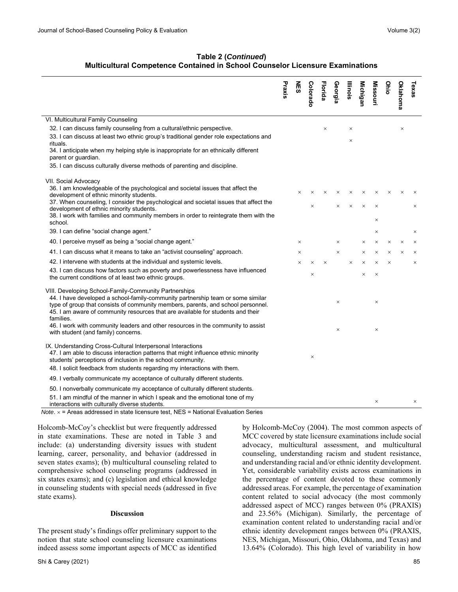## **Table 2 (***Continued***) Multicultural Competence Contained in School Counselor Licensure Examinations**

|                                                                                                                                                                                                                                                                                                                              | Praxis | <b>NES</b> | Colorado | <b>Florida</b> | Georgia  | Illinois | <b>Michigan</b> | <b>Missouri</b> | Ohio     | <b>Oklahoma</b> | Texas    |
|------------------------------------------------------------------------------------------------------------------------------------------------------------------------------------------------------------------------------------------------------------------------------------------------------------------------------|--------|------------|----------|----------------|----------|----------|-----------------|-----------------|----------|-----------------|----------|
| VI. Multicultural Family Counseling                                                                                                                                                                                                                                                                                          |        |            |          |                |          |          |                 |                 |          |                 |          |
| 32. I can discuss family counseling from a cultural/ethnic perspective.                                                                                                                                                                                                                                                      |        |            |          | $\times$       |          | $\times$ |                 |                 |          | $\times$        |          |
| 33. I can discuss at least two ethnic group's traditional gender role expectations and<br>rituals.                                                                                                                                                                                                                           |        |            |          |                |          | $\times$ |                 |                 |          |                 |          |
| 34. I anticipate when my helping style is inappropriate for an ethnically different<br>parent or guardian.                                                                                                                                                                                                                   |        |            |          |                |          |          |                 |                 |          |                 |          |
| 35. I can discuss culturally diverse methods of parenting and discipline.                                                                                                                                                                                                                                                    |        |            |          |                |          |          |                 |                 |          |                 |          |
| VII. Social Advocacy                                                                                                                                                                                                                                                                                                         |        |            |          |                |          |          |                 |                 |          |                 |          |
| 36. I am knowledgeable of the psychological and societal issues that affect the<br>development of ethnic minority students.                                                                                                                                                                                                  |        | $\times$   |          |                | $\times$ | $\times$ | $\times$        | $\times$        | $\times$ | $\times$        |          |
| 37. When counseling, I consider the psychological and societal issues that affect the<br>development of ethnic minority students.                                                                                                                                                                                            |        |            | $\times$ |                | $\times$ | $\times$ | $\times$        | $\times$        |          |                 | $\times$ |
| 38. I work with families and community members in order to reintegrate them with the<br>school.                                                                                                                                                                                                                              |        |            |          |                |          |          |                 | $\times$        |          |                 |          |
| 39. I can define "social change agent."                                                                                                                                                                                                                                                                                      |        |            |          |                |          |          |                 | ×               |          |                 | ×        |
| 40. I perceive myself as being a "social change agent."                                                                                                                                                                                                                                                                      |        | ×          |          |                | $\times$ |          | ×               | $\times$        | $\times$ | $\times$        | $\times$ |
| 41. I can discuss what it means to take an "activist counseling" approach.                                                                                                                                                                                                                                                   |        | $\times$   |          |                | $\times$ |          | $\times$        | $\times$        | $\times$ | $\times$        | $\times$ |
| 42. I intervene with students at the individual and systemic levels.                                                                                                                                                                                                                                                         |        | $\times$   | $\times$ | $\times$       |          | $\times$ | $\times$        | $\times$        | $\times$ |                 | $\times$ |
| 43. I can discuss how factors such as poverty and powerlessness have influenced<br>the current conditions of at least two ethnic groups.                                                                                                                                                                                     |        |            | $\times$ |                |          |          | $\times$        | $\times$        |          |                 |          |
| VIII. Developing School-Family-Community Partnerships<br>44. I have developed a school-family-community partnership team or some similar<br>type of group that consists of community members, parents, and school personnel.<br>45. I am aware of community resources that are available for students and their<br>families. |        |            |          |                | $\times$ |          |                 | $\times$        |          |                 |          |
| 46. I work with community leaders and other resources in the community to assist<br>with student (and family) concerns.                                                                                                                                                                                                      |        |            |          |                | $\times$ |          |                 | $\times$        |          |                 |          |
| IX. Understanding Cross-Cultural Interpersonal Interactions<br>47. I am able to discuss interaction patterns that might influence ethnic minority<br>students' perceptions of inclusion in the school community.                                                                                                             |        |            | $\times$ |                |          |          |                 |                 |          |                 |          |
| 48. I solicit feedback from students regarding my interactions with them.                                                                                                                                                                                                                                                    |        |            |          |                |          |          |                 |                 |          |                 |          |
| 49. I verbally communicate my acceptance of culturally different students.                                                                                                                                                                                                                                                   |        |            |          |                |          |          |                 |                 |          |                 |          |
| 50. I nonverbally communicate my acceptance of culturally different students.                                                                                                                                                                                                                                                |        |            |          |                |          |          |                 |                 |          |                 |          |
| 51. I am mindful of the manner in which I speak and the emotional tone of my<br>interactions with culturally diverse students.<br><i>Note.</i> $\times$ = Areas addressed in state licensure test, NES = National Evaluation Series                                                                                          |        |            |          |                |          |          |                 | $\times$        |          |                 | ×        |

Holcomb-McCoy's checklist but were frequently addressed in state examinations. These are noted in Table 3 and include: (a) understanding diversity issues with student learning, career, personality, and behavior (addressed in seven states exams); (b) multicultural counseling related to comprehensive school counseling programs (addressed in six states exams); and (c) legislation and ethical knowledge in counseling students with special needs (addressed in five state exams).

#### **Discussion**

The present study's findings offer preliminary support to the notion that state school counseling licensure examinations indeed assess some important aspects of MCC as identified

by Holcomb-McCoy (2004). The most common aspects of MCC covered by state licensure examinations include social advocacy, multicultural assessment, and multicultural counseling, understanding racism and student resistance, and understanding racial and/or ethnic identity development. Yet, considerable variability exists across examinations in the percentage of content devoted to these commonly addressed areas. For example, the percentage of examination content related to social advocacy (the most commonly addressed aspect of MCC) ranges between 0% (PRAXIS) and 23.56% (Michigan). Similarly, the percentage of examination content related to understanding racial and/or ethnic identity development ranges between 0% (PRAXIS, NES, Michigan, Missouri, Ohio, Oklahoma, and Texas) and 13.64% (Colorado). This high level of variability in how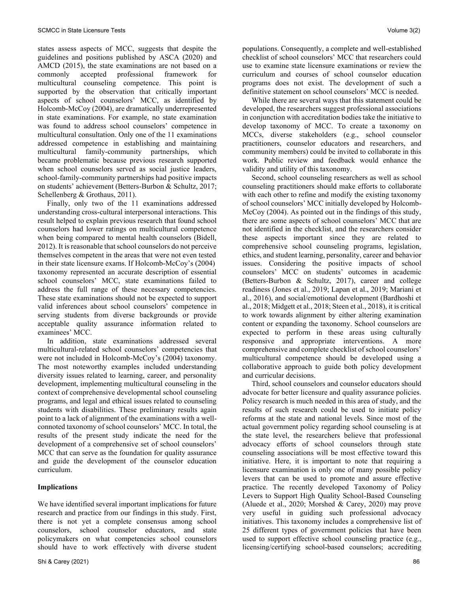states assess aspects of MCC, suggests that despite the guidelines and positions published by ASCA (2020) and AMCD (2015), the state examinations are not based on a commonly accepted professional framework for multicultural counseling competence. This point is supported by the observation that critically important aspects of school counselors' MCC, as identified by Holcomb-McCoy (2004), are dramatically underrepresented in state examinations. For example, no state examination was found to address school counselors' competence in multicultural consultation. Only one of the 11 examinations addressed competence in establishing and maintaining multicultural family-community partnerships, which became problematic because previous research supported when school counselors served as social justice leaders, school-family-community partnerships had positive impacts on students' achievement (Betters-Burbon & Schultz, 2017; Schellenberg & Grothaus, 2011).

 Finally, only two of the 11 examinations addressed understanding cross-cultural interpersonal interactions. This result helped to explain previous research that found school counselors had lower ratings on multicultural competence when being compared to mental health counselors (Bidell, 2012). It is reasonable that school counselors do not perceive themselves competent in the areas that were not even tested in their state licensure exams. If Holcomb-McCoy's (2004) taxonomy represented an accurate description of essential school counselors' MCC, state examinations failed to address the full range of these necessary competencies. These state examinations should not be expected to support valid inferences about school counselors' competence in serving students from diverse backgrounds or provide acceptable quality assurance information related to examinees' MCC.

 In addition, state examinations addressed several multicultural-related school counselors' competencies that were not included in Holcomb-McCoy's (2004) taxonomy. The most noteworthy examples included understanding diversity issues related to learning, career, and personality development, implementing multicultural counseling in the context of comprehensive developmental school counseling programs, and legal and ethical issues related to counseling students with disabilities. These preliminary results again point to a lack of alignment of the examinations with a wellconnoted taxonomy of school counselors' MCC. In total, the results of the present study indicate the need for the development of a comprehensive set of school counselors' MCC that can serve as the foundation for quality assurance and guide the development of the counselor education curriculum.

## **Implications**

We have identified several important implications for future research and practice from our findings in this study. First, there is not yet a complete consensus among school counselors, school counselor educators, and state policymakers on what competencies school counselors should have to work effectively with diverse student populations. Consequently, a complete and well-established checklist of school counselors' MCC that researchers could use to examine state licensure examinations or review the curriculum and courses of school counselor education programs does not exist. The development of such a definitive statement on school counselors' MCC is needed.

 While there are several ways that this statement could be developed, the researchers suggest professional associations in conjunction with accreditation bodies take the initiative to develop taxonomy of MCC. To create a taxonomy on MCCs, diverse stakeholders (e.g., school counselor practitioners, counselor educators and researchers, and community members) could be invited to collaborate in this work. Public review and feedback would enhance the validity and utility of this taxonomy.

 Second, school counseling researchers as well as school counseling practitioners should make efforts to collaborate with each other to refine and modify the existing taxonomy of school counselors' MCC initially developed by Holcomb-McCoy (2004). As pointed out in the findings of this study, there are some aspects of school counselors' MCC that are not identified in the checklist, and the researchers consider these aspects important since they are related to comprehensive school counseling programs, legislation, ethics, and student learning, personality, career and behavior issues. Considering the positive impacts of school counselors' MCC on students' outcomes in academic (Betters-Burbon & Schultz, 2017), career and college readiness (Jones et al., 2019; Lapan et al., 2019; Mariani et al., 2016), and social/emotional development (Bardhoshi et al., 2018; Midgett et al., 2018; Steen et al., 2018), it is critical to work towards alignment by either altering examination content or expanding the taxonomy. School counselors are expected to perform in these areas using culturally responsive and appropriate interventions. A more comprehensive and complete checklist of school counselors' multicultural competence should be developed using a collaborative approach to guide both policy development and curricular decisions.

 Third, school counselors and counselor educators should advocate for better licensure and quality assurance policies. Policy research is much needed in this area of study, and the results of such research could be used to initiate policy reforms at the state and national levels. Since most of the actual government policy regarding school counseling is at the state level, the researchers believe that professional advocacy efforts of school counselors through state counseling associations will be most effective toward this initiative. Here, it is important to note that requiring a licensure examination is only one of many possible policy levers that can be used to promote and assure effective practice. The recently developed Taxonomy of Policy Levers to Support High Quality School-Based Counseling (Aluede et al., 2020; Morshed & Carey, 2020) may prove very useful in guiding such professional advocacy initiatives. This taxonomy includes a comprehensive list of 25 different types of government policies that have been used to support effective school counseling practice (e.g., licensing/certifying school-based counselors; accrediting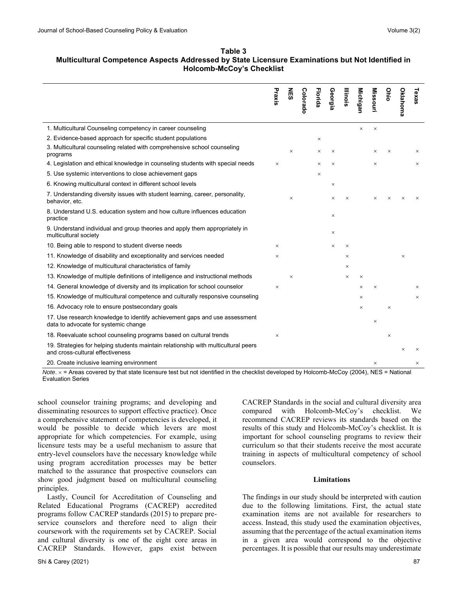#### **Table 3 Multicultural Competence Aspects Addressed by State Licensure Examinations but Not Identified in Holcomb-McCoy's Checklist**

|                                                                                                                        | Praxis   | <b>NES</b> | Colorado | Florida  | Georgia  | <b>Illinois</b> | <b>Michigan</b> | <b>Missouri</b> | Ohio     | <b>Oklahoma</b> | Texas    |
|------------------------------------------------------------------------------------------------------------------------|----------|------------|----------|----------|----------|-----------------|-----------------|-----------------|----------|-----------------|----------|
| 1. Multicultural Counseling competency in career counseling                                                            |          |            |          |          |          |                 | $\times$        | $\times$        |          |                 |          |
| 2. Evidence-based approach for specific student populations                                                            |          |            |          | $\times$ |          |                 |                 |                 |          |                 |          |
| 3. Multicultural counseling related with comprehensive school counseling<br>programs                                   |          | $\times$   |          | $\times$ | X        |                 |                 | $\times$        | X        |                 | ×        |
| 4. Legislation and ethical knowledge in counseling students with special needs                                         | $\times$ |            |          | ×        | $\times$ |                 |                 | ×               |          |                 | $\times$ |
| 5. Use systemic interventions to close achievement gaps                                                                |          |            |          | $\times$ |          |                 |                 |                 |          |                 |          |
| 6. Knowing multicultural context in different school levels                                                            |          |            |          |          | $\times$ |                 |                 |                 |          |                 |          |
| 7. Understanding diversity issues with student learning, career, personality,<br>behavior, etc.                        |          | $\times$   |          |          | $\times$ | $\times$        |                 | $\times$        | $\times$ |                 | $\times$ |
| 8. Understand U.S. education system and how culture influences education<br>practice                                   |          |            |          |          | $\times$ |                 |                 |                 |          |                 |          |
| 9. Understand individual and group theories and apply them appropriately in<br>multicultural society                   |          |            |          |          | $\times$ |                 |                 |                 |          |                 |          |
| 10. Being able to respond to student diverse needs                                                                     | ×        |            |          |          | $\times$ | $\times$        |                 |                 |          |                 |          |
| 11. Knowledge of disability and exceptionality and services needed                                                     | ×        |            |          |          |          | $\times$        |                 |                 |          | $\times$        |          |
| 12. Knowledge of multicultural characteristics of family                                                               |          |            |          |          |          | $\times$        |                 |                 |          |                 |          |
| 13. Knowledge of multiple definitions of intelligence and instructional methods                                        |          | $\times$   |          |          |          | $\times$        | $\times$        |                 |          |                 |          |
| 14. General knowledge of diversity and its implication for school counselor                                            | $\times$ |            |          |          |          |                 | X               | $\times$        |          |                 | $\times$ |
| 15. Knowledge of multicultural competence and culturally responsive counseling                                         |          |            |          |          |          |                 | X               |                 |          |                 | $\times$ |
| 16. Advocacy role to ensure postsecondary goals                                                                        |          |            |          |          |          |                 | $\times$        |                 | $\times$ |                 |          |
| 17. Use research knowledge to identify achievement gaps and use assessment<br>data to advocate for systemic change     |          |            |          |          |          |                 |                 | $\times$        |          |                 |          |
| 18. Reevaluate school counseling programs based on cultural trends                                                     | $\times$ |            |          |          |          |                 |                 |                 | ×        |                 |          |
| 19. Strategies for helping students maintain relationship with multicultural peers<br>and cross-cultural effectiveness |          |            |          |          |          |                 |                 |                 |          | $\times$        | $\times$ |
| 20. Create inclusive learning environment                                                                              |          |            |          |          |          |                 |                 | $\times$        |          |                 | ×        |

*Note*. = Areas covered by that state licensure test but not identified in the checklist developed by Holcomb-McCoy (2004), NES = National Evaluation Series

school counselor training programs; and developing and disseminating resources to support effective practice). Once a comprehensive statement of competencies is developed, it would be possible to decide which levers are most appropriate for which competencies. For example, using licensure tests may be a useful mechanism to assure that entry-level counselors have the necessary knowledge while using program accreditation processes may be better matched to the assurance that prospective counselors can show good judgment based on multicultural counseling principles.

 Lastly, Council for Accreditation of Counseling and Related Educational Programs (CACREP) accredited programs follow CACREP standards (2015) to prepare preservice counselors and therefore need to align their coursework with the requirements set by CACREP. Social and cultural diversity is one of the eight core areas in CACREP Standards. However, gaps exist between

CACREP Standards in the social and cultural diversity area compared with Holcomb-McCoy's checklist. We recommend CACREP reviews its standards based on the results of this study and Holcomb-McCoy's checklist. It is important for school counseling programs to review their curriculum so that their students receive the most accurate training in aspects of multicultural competency of school counselors.

#### **Limitations**

The findings in our study should be interpreted with caution due to the following limitations. First, the actual state examination items are not available for researchers to access. Instead, this study used the examination objectives, assuming that the percentage of the actual examination items in a given area would correspond to the objective percentages. It is possible that our results may underestimate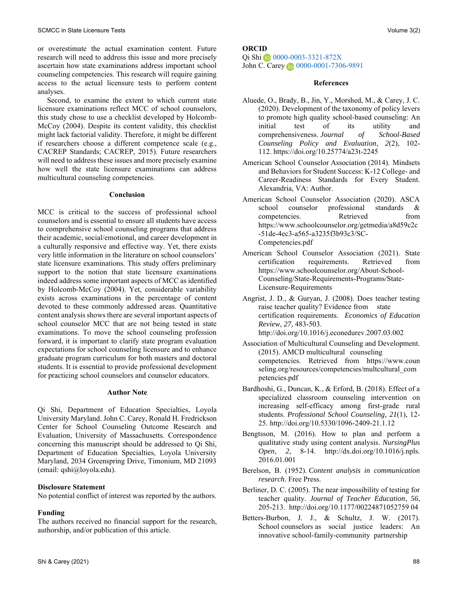or overestimate the actual examination content. Future research will need to address this issue and more precisely ascertain how state examinations address important school counseling competencies. This research will require gaining access to the actual licensure tests to perform content analyses.

 Second, to examine the extent to which current state licensure examinations reflect MCC of school counselors, this study chose to use a checklist developed by Holcomb-McCoy (2004). Despite its content validity, this checklist might lack factorial validity. Therefore, it might be different if researchers choose a different competence scale (e.g., CACREP Standards; CACREP, 2015). Future researchers will need to address these issues and more precisely examine how well the state licensure examinations can address multicultural counseling competencies.

#### **Conclusion**

MCC is critical to the success of professional school counselors and is essential to ensure all students have access to comprehensive school counseling programs that address their academic, social/emotional, and career development in a culturally responsive and effective way. Yet, there exists very little information in the literature on school counselors' state licensure examinations. This study offers preliminary support to the notion that state licensure examinations indeed address some important aspects of MCC as identified by Holcomb-McCoy (2004). Yet, considerable variability exists across examinations in the percentage of content devoted to these commonly addressed areas. Quantitative content analysis shows there are several important aspects of school counselor MCC that are not being tested in state examinations. To move the school counseling profession forward, it is important to clarify state program evaluation expectations for school counseling licensure and to enhance graduate program curriculum for both masters and doctoral students. It is essential to provide professional development for practicing school counselors and counselor educators.

#### **Author Note**

Qi Shi, Department of Education Specialties, Loyola University Maryland. John C. Carey, Ronald H. Fredrickson Center for School Counseling Outcome Research and Evaluation, University of Massachusetts. Correspondence concerning this manuscript should be addressed to Qi Shi, Department of Education Specialties, Loyola University Maryland, 2034 Greenspring Drive, Timonium, MD 21093 (email: [qshi@loyola.edu\)](mailto:qshi@loyola.edu).

## **Disclosure Statement**

No potential conflict of interest was reported by the authors.

## **Funding**

The authors received no financial support for the research, authorship, and/or publication of this article.

## **ORCID**

Qi Shi [0000-0003-3321-872X](https://orcid.org/0000-0003-3321-872X) JohnC. Carey **1** [0000-0001-7306-9891](http://orcid.org/0000-0001-7306-9891)

#### **References**

- Aluede, O., Brady, B., Jin, Y., Morshed, M., & Carey, J. C. (2020). Development of the taxonomy of policy levers to promote high quality school-based counseling: An initial test of its utility and comprehensiveness. *Journal of School-Based Counseling Policy and Evaluation*, *2*(2), 102- 112. <https://doi.org/10.25774/a23t-2245>
- American School Counselor Association (2014). Mindsets and Behaviors for Student Success: K-12 College- and Career-Readiness Standards for Every Student. Alexandria, VA: Author.
- American School Counselor Association (2020). ASCA school counselor professional standards &<br>competencies. Retrieved from competencies. Retrieved [https://www.schoolcounselor.org/getmedia/a8d59c2c](https://www.schoolcounselor.org/getmedia/a8d59c2c-51de-4ec3-a565-a3235f3b93c3/SC-Competencies.pdf) [-51de-4ec3-a565-a3235f3b93c3/SC-](https://www.schoolcounselor.org/getmedia/a8d59c2c-51de-4ec3-a565-a3235f3b93c3/SC-Competencies.pdf)[Competencies.pdf](https://www.schoolcounselor.org/getmedia/a8d59c2c-51de-4ec3-a565-a3235f3b93c3/SC-Competencies.pdf)
- American School Counselor Association (2021). State certification requirements. Retrieved from [https://www.schoolcounselor.org/About-School-](https://www.schoolcounselor.org/About-School-Counseling/State-Requirements-Programs/State-Licensure-Requirements)[Counseling/State-Requirements-Programs/State-](https://www.schoolcounselor.org/About-School-Counseling/State-Requirements-Programs/State-Licensure-Requirements)[Licensure-Requirements](https://www.schoolcounselor.org/About-School-Counseling/State-Requirements-Programs/State-Licensure-Requirements)
- Angrist, J. D., & Guryan, J. (2008). Does teacher testing raise teacher quality? Evidence from state certification requirements. *Economics of Education Review*, *27,* 483-503. <http://doi.org/10.1016/j.econedurev.2007.03.002>
- Association of Multicultural Counseling and Development. (2015). AMCD multicultural counseling competencies. Retrieved from https://www.coun seling.org/resources/competencies/multcultural\_com petencies.pdf
- Bardhoshi, G., Duncan, K., & Erford, B. (2018). Effect of a specialized classroom counseling intervention on increasing self-efficacy among first-grade rural students. *Professional School Counseling*, *21*(1), 12- 25[. http://doi.org/10.5330/1096-2409-21.1.12](http://doi.org/10.5330/1096-2409-21.1.12)
- Bengtsson, M. (2016). How to plan and perform a qualitative study using content analysis. *NursingPlus Open*, *2*, 8-14. [http://dx.doi.org/10.1016/j.npls.](http://dx.doi.org/10.1016/j.npls.%202016.01.001)  [2016.01.001](http://dx.doi.org/10.1016/j.npls.%202016.01.001)
- Berelson, B. (1952). *Content analysis in communication research.* Free Press.
- Berliner, D. C. (2005). The near impossibility of testing for teacher quality. *Journal of Teacher Education*, *56*, 205-213. [http://doi.org/10.1177/00224871052759 04](http://doi.org/10.1177/00224871052759%2004)
- Betters-Burbon, J. J., & Schultz, J. W. (2017). School counselors as social justice leaders: An innovative school-family-community partnership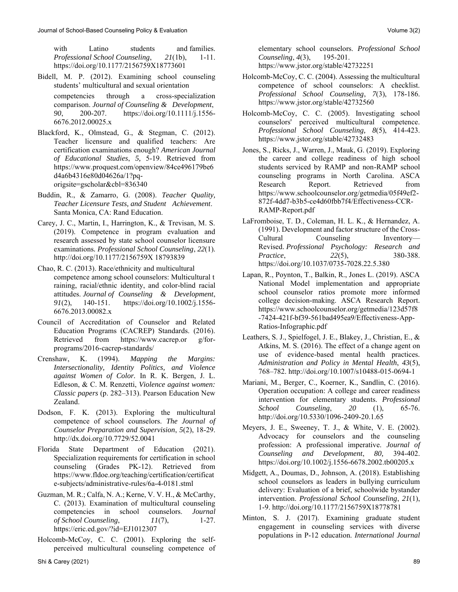with Latino students and families. *Professional School Counseling*, *21*(1b), 1-11. <https://doi.org/10.1177/2156759X18773601>

- Bidell, M. P. (2012). Examining school counseling students' multicultural and sexual orientation competencies through a cross-specialization comparison. *Journal of Counseling & Development*, *90*, 200-207. [https://doi.org/10.1111/j.1556-](https://doi.org/10.1111/j.1556-6676.2012.00025.x) [6676.2012.00025.x](https://doi.org/10.1111/j.1556-6676.2012.00025.x)
- Blackford, K., Olmstead, G., & Stegman, C. (2012). Teacher licensure and qualified teachers: Are certification examinations enough? *American Journal of Educational Studies*, *5,* 5-19. Retrieved from [https://www.proquest.com/openview/84ce496179be6](https://www.proquest.com/openview/84ce496179be6d4a6b4316e80d04626a/1?pq-origsite=gscholar&cbl=836340) [d4a6b4316e80d04626a/1?pq](https://www.proquest.com/openview/84ce496179be6d4a6b4316e80d04626a/1?pq-origsite=gscholar&cbl=836340)[origsite=gscholar&cbl=836340](https://www.proquest.com/openview/84ce496179be6d4a6b4316e80d04626a/1?pq-origsite=gscholar&cbl=836340)
- Buddin, R., & Zamarro, G. (2008). *Teacher Quality, Teacher Licensure Tests, and Student Achievement*. Santa Monica, CA: Rand Education.
- Carey, J. C., Martin, I., Harrington, K., & Trevisan, M. S. (2019). Competence in program evaluation and research assessed by state school counselor licensure examinations*. Professional School Counseling*, *22*(1). [http://doi.org/10.1177/2156759X 18793839](http://doi.org/10.1177/2156759X%2018793839)
- Chao, R. C. (2013). Race/ethnicity and multicultural competence among school counselors: Multicultural t raining, racial/ethnic identity, and color-blind racial attitudes. *Journal of Counseling & Development*, *91*(2), 140-151. [https://doi.org/10.1002/j.1556-](https://doi.org/10.1002/j.1556-6676.2013.00082.x) [6676.2013.00082.x](https://doi.org/10.1002/j.1556-6676.2013.00082.x)
- Council of Accreditation of Counselor and Related Education Programs (CACREP) Standards. (2016). Retrieved from https://www.cacrep.or g/forprograms/2016-cacrep-standards/
- Crenshaw, K. (1994). *Mapping the Margins: Intersectionality, Identity Politics, and Violence against Women of Color.* In R. K. Bergen, J. L. Edleson, & C. M. Renzetti, *Violence against women: Classic papers* (p. 282–313). Pearson Education New Zealand.
- Dodson, F. K. (2013). Exploring the multicultural competence of school counselors. *The Journal of Counselor Preparation and Supervision*, *5*(2), 18-29. <http://dx.doi.org/10.7729/52.0041>
- Florida State Department of Education (2021). Specialization requirements for certification in school counseling (Grades PK-12). Retrieved from [https://www.fldoe.org/teaching/certification/certificat](https://www.fldoe.org/teaching/certification/certificate-subjects/administrative-rules/6a-4-0181.stml) [e-subjects/administrative-rules/6a-4-0181.stml](https://www.fldoe.org/teaching/certification/certificate-subjects/administrative-rules/6a-4-0181.stml)
- Guzman, M. R.; Calfa, N. A.; Kerne, V. V. H., & McCarthy, C. (2013). Examination of multicultural counseling competencies in school counselors. *Journal of School Counseling*, *11*(7), 1-27. <https://eric.ed.gov/?id=EJ1012307>
- Holcomb-McCoy, C. C. (2001). Exploring the selfperceived multicultural counseling competence of

elementary school counselors. *Professional School Counseling*, *4*(3), 195-201. <https://www.jstor.org/stable/42732251>

- Holcomb-McCoy, C. C. (2004). Assessing the multicultural competence of school counselors: A checklist. *Professional School Counseling*, *7*(3), 178-186. <https://www.jstor.org/stable/42732560>
- Holcomb-McCoy, C. C. (2005). Investigating school counselors' perceived multicultural competence. *Professional School Counseling, 8*(5), 414-423. <https://www.jstor.org/stable/42732483>
- Jones, S., Ricks, J., Warren, J., Mauk, G. (2019). Exploring the career and college readiness of high school students serviced by RAMP and non-RAMP school counseling programs in North Carolina. ASCA Research Report. Retrieved from [https://www.schoolcounselor.org/getmedia/05f49ef2-](https://www.schoolcounselor.org/getmedia/05f49ef2-872f-4dd7-b3b5-ce4d60fbb7f4/Effectiveness-CCR-RAMP-Report.pdf) [872f-4dd7-b3b5-ce4d60fbb7f4/Effectiveness-CCR-](https://www.schoolcounselor.org/getmedia/05f49ef2-872f-4dd7-b3b5-ce4d60fbb7f4/Effectiveness-CCR-RAMP-Report.pdf)[RAMP-Report.pdf](https://www.schoolcounselor.org/getmedia/05f49ef2-872f-4dd7-b3b5-ce4d60fbb7f4/Effectiveness-CCR-RAMP-Report.pdf)
- LaFromboise, T. D., Coleman, H. L. K., & Hernandez, A. (1991). Development and factor structure of the Cross-Cultural Counseling Inventory— Revised. *Professional Psychology: Research and Practice*, *22*(5), 380-388. <https://doi.org/10.1037/0735-7028.22.5.380>
- Lapan, R., Poynton, T., Balkin, R., Jones L. (2019). ASCA National Model implementation and appropriate school counselor ratios promote more informed college decision-making. ASCA Research Report. [https://www.schoolcounselor.org/getmedia/123d57f8](https://www.schoolcounselor.org/getmedia/123d57f8-7424-421f-bf39-561bad495ea9/Effectiveness-App-Ratios-Infographic.pdf) [-7424-421f-bf39-561bad495ea9/Effectiveness-App-](https://www.schoolcounselor.org/getmedia/123d57f8-7424-421f-bf39-561bad495ea9/Effectiveness-App-Ratios-Infographic.pdf)[Ratios-Infographic.pdf](https://www.schoolcounselor.org/getmedia/123d57f8-7424-421f-bf39-561bad495ea9/Effectiveness-App-Ratios-Infographic.pdf)
- Leathers, S. J., Spielfogel, J. E., Blakey, J., Christian, E., & Atkins, M. S. (2016). The effect of a change agent on use of evidence-based mental health practices*. Administration and Policy in Mental Health*, *43*(5), 768–782[. http://doi.org/10.1007/s10488-015-0694-1](https://pubmed.ncbi.nlm.nih.gov/26487393/)
- Mariani, M., Berger, C., Koerner, K., Sandlin, C. (2016). Operation occupation: A college and career readiness intervention for elementary students. *Professional School Counseling*, *20* (1), 65-76. <http://doi.org/10.5330/1096-2409-20.1.65>
- Meyers, J. E., Sweeney, T. J., & White, V. E. (2002). Advocacy for counselors and the counseling profession: A professional imperative. *Journal of Counseling and Development*, *80,* 394-402. <https://doi.org/10.1002/j.1556-6678.2002.tb00205.x>
- Midgett, A., Doumas, D., Johnson, A. (2018). Establishing school counselors as leaders in bullying curriculum delivery: Evaluation of a brief, schoolwide bystander intervention. *Professional School Counseling*, *21*(1), 1-9.<http://doi.org/10.1177/2156759X18778781>
- Minton, S. J. (2017). Examining graduate student engagement in counseling services with diverse populations in P-12 education. *International Journal*